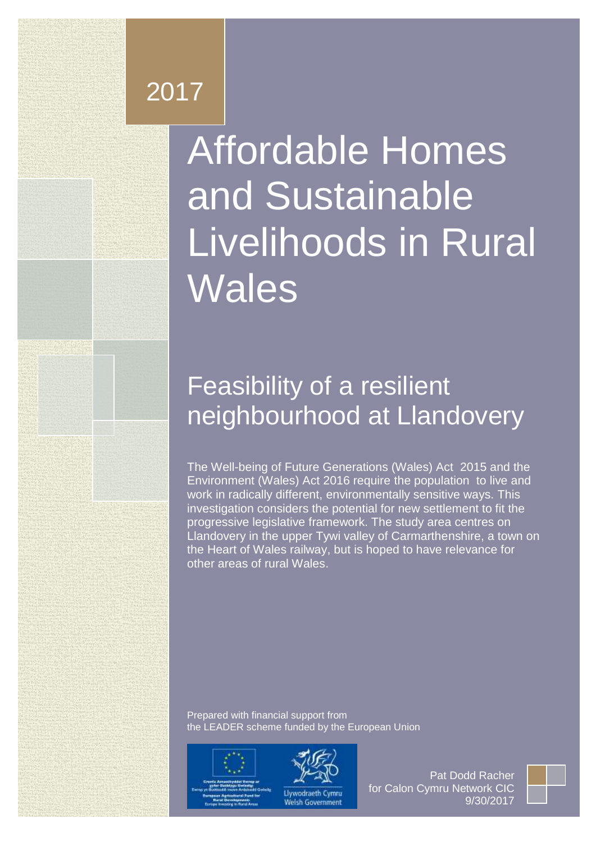# 2017

**Executive Summary**

# Affordable Homes and Sustainable Livelihoods in Rural Wales

# **RECOMMENDATION 1: Calon Cymru Network should form two Feasibility of a resilient railway corridor and (b) an initial local trust for the Llandovery area, in Leart of Males Development Company** neighbourhood at Llandovery

**trusts should be community benefit societies, which can raise capital through community share issues** (section 7). Calon Cymru Network and

**development value. On Rural Exception sites outside development boundaries, a lower ceiling could apply. This change would share the financial gain between the landowner and the community** (section 4.4). Change of compulsory purchase regulations in Wales is now problematic. The devolution settlement was silent on the matter, but the Wales Act 2017 reserves most compulsory purchase powers to the UK Government in

**Heart of The Well-being of Future Generations (Wales) Act 2015 and the RECOMMENDATION ALSO ACT 2016 require the population to live and profit and profit and profit and profit and profit and profit and profit and profit and profit and profit and profit and profit and profit and profit and pro community shows investigation considers the potential for new settlement to fit the for a formula ble housing, where is considered, at at less products** is the study area centres on **than development in the upper Tywi valley of Carmarthenshire, a town on land for development could be reduced.** The Heart of Wales railway, but is hoped to have relevance for **agricultural value plus half the difference between the difference between that figure and full lines.** work in radically different, environmentally sensitive ways. This

**systematic, clearly understood process for community asset transfers** Prepared with financial support from **Carmich (section).** Care the LEADER scheme funded by the European Union

**RECOMMENDATION 3: Local authorities should develop a more** 



Westminster.



Llywodraeth Cymru elsh Government

Pat Dodd Racher for Calon Cymru Network CIC 9/30/2017

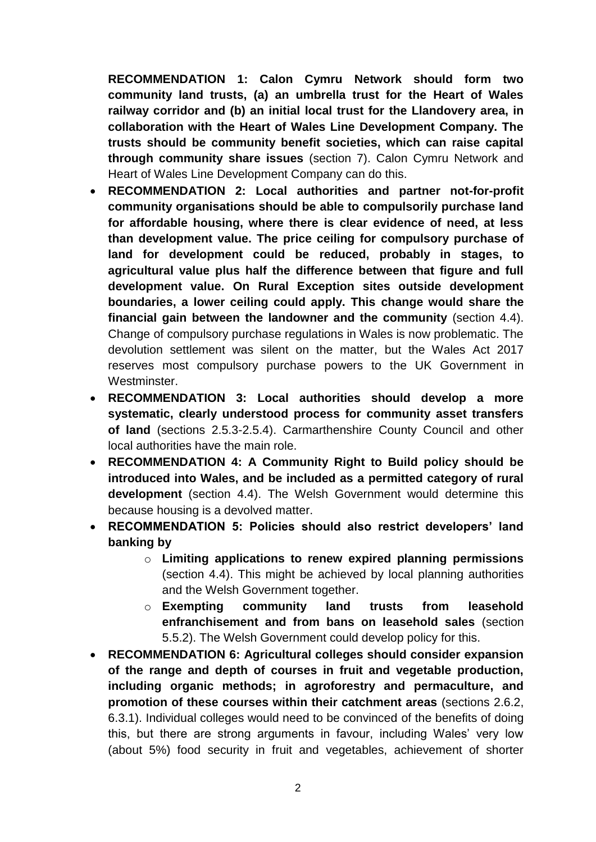**RECOMMENDATION 1: Calon Cymru Network should form two community land trusts, (a) an umbrella trust for the Heart of Wales railway corridor and (b) an initial local trust for the Llandovery area, in collaboration with the Heart of Wales Line Development Company. The trusts should be community benefit societies, which can raise capital through community share issues** (section 7). Calon Cymru Network and Heart of Wales Line Development Company can do this.

- **RECOMMENDATION 2: Local authorities and partner not-for-profit community organisations should be able to compulsorily purchase land for affordable housing, where there is clear evidence of need, at less than development value. The price ceiling for compulsory purchase of land for development could be reduced, probably in stages, to agricultural value plus half the difference between that figure and full development value. On Rural Exception sites outside development boundaries, a lower ceiling could apply. This change would share the financial gain between the landowner and the community** (section 4.4). Change of compulsory purchase regulations in Wales is now problematic. The devolution settlement was silent on the matter, but the Wales Act 2017 reserves most compulsory purchase powers to the UK Government in Westminster.
- **RECOMMENDATION 3: Local authorities should develop a more systematic, clearly understood process for community asset transfers of land** (sections 2.5.3-2.5.4). Carmarthenshire County Council and other local authorities have the main role.
- **RECOMMENDATION 4: A Community Right to Build policy should be introduced into Wales, and be included as a permitted category of rural development** (section 4.4). The Welsh Government would determine this because housing is a devolved matter.
- **RECOMMENDATION 5: Policies should also restrict developers' land banking by**
	- o **Limiting applications to renew expired planning permissions**  (section 4.4). This might be achieved by local planning authorities and the Welsh Government together.
	- o **Exempting community land trusts from leasehold enfranchisement and from bans on leasehold sales** (section 5.5.2). The Welsh Government could develop policy for this.
- **RECOMMENDATION 6: Agricultural colleges should consider expansion of the range and depth of courses in fruit and vegetable production, including organic methods; in agroforestry and permaculture, and promotion of these courses within their catchment areas** (sections 2.6.2, 6.3.1). Individual colleges would need to be convinced of the benefits of doing this, but there are strong arguments in favour, including Wales' very low (about 5%) food security in fruit and vegetables, achievement of shorter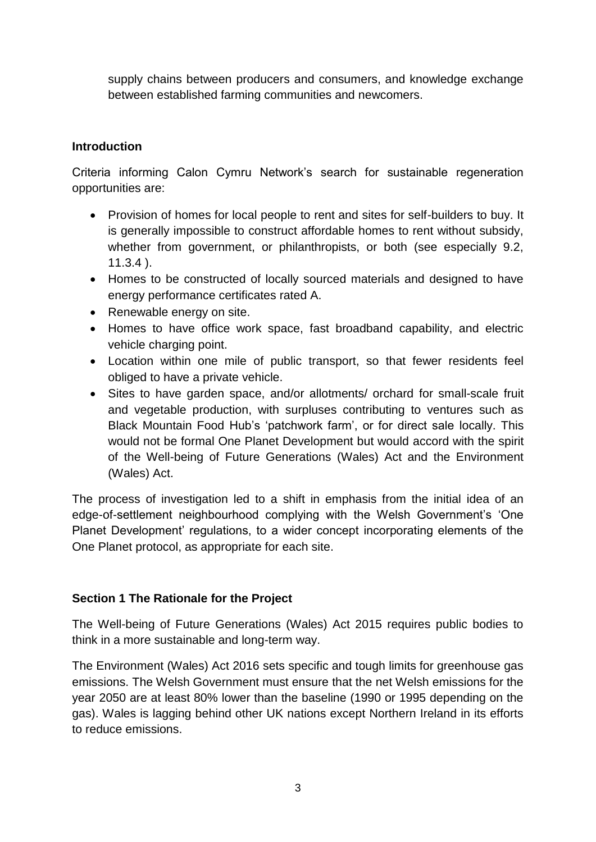supply chains between producers and consumers, and knowledge exchange between established farming communities and newcomers.

# **Introduction**

Criteria informing Calon Cymru Network's search for sustainable regeneration opportunities are:

- Provision of homes for local people to rent and sites for self-builders to buy. It is generally impossible to construct affordable homes to rent without subsidy, whether from government, or philanthropists, or both (see especially 9.2, 11.3.4 ).
- Homes to be constructed of locally sourced materials and designed to have energy performance certificates rated A.
- Renewable energy on site.
- Homes to have office work space, fast broadband capability, and electric vehicle charging point.
- Location within one mile of public transport, so that fewer residents feel obliged to have a private vehicle.
- Sites to have garden space, and/or allotments/ orchard for small-scale fruit and vegetable production, with surpluses contributing to ventures such as Black Mountain Food Hub's 'patchwork farm', or for direct sale locally. This would not be formal One Planet Development but would accord with the spirit of the Well-being of Future Generations (Wales) Act and the Environment (Wales) Act.

The process of investigation led to a shift in emphasis from the initial idea of an edge-of-settlement neighbourhood complying with the Welsh Government's 'One Planet Development' regulations, to a wider concept incorporating elements of the One Planet protocol, as appropriate for each site.

#### **Section 1 The Rationale for the Project**

The Well-being of Future Generations (Wales) Act 2015 requires public bodies to think in a more sustainable and long-term way.

The Environment (Wales) Act 2016 sets specific and tough limits for greenhouse gas emissions. The Welsh Government must ensure that the net Welsh emissions for the year 2050 are at least 80% lower than the baseline (1990 or 1995 depending on the gas). Wales is lagging behind other UK nations except Northern Ireland in its efforts to reduce emissions.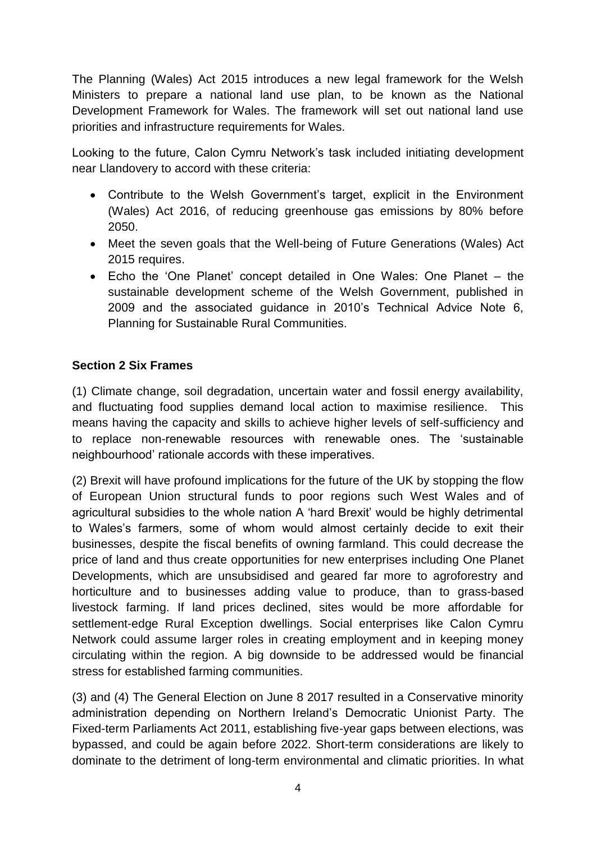The Planning (Wales) Act 2015 introduces a new legal framework for the Welsh Ministers to prepare a national land use plan, to be known as the National Development Framework for Wales. The framework will set out national land use priorities and infrastructure requirements for Wales.

Looking to the future, Calon Cymru Network's task included initiating development near Llandovery to accord with these criteria:

- Contribute to the Welsh Government's target, explicit in the Environment (Wales) Act 2016, of reducing greenhouse gas emissions by 80% before 2050.
- Meet the seven goals that the Well-being of Future Generations (Wales) Act 2015 requires.
- Echo the 'One Planet' concept detailed in One Wales: One Planet the sustainable development scheme of the Welsh Government, published in 2009 and the associated guidance in 2010's Technical Advice Note 6, Planning for Sustainable Rural Communities.

# **Section 2 Six Frames**

(1) Climate change, soil degradation, uncertain water and fossil energy availability, and fluctuating food supplies demand local action to maximise resilience. This means having the capacity and skills to achieve higher levels of self-sufficiency and to replace non-renewable resources with renewable ones. The 'sustainable neighbourhood' rationale accords with these imperatives.

(2) Brexit will have profound implications for the future of the UK by stopping the flow of European Union structural funds to poor regions such West Wales and of agricultural subsidies to the whole nation A 'hard Brexit' would be highly detrimental to Wales's farmers, some of whom would almost certainly decide to exit their businesses, despite the fiscal benefits of owning farmland. This could decrease the price of land and thus create opportunities for new enterprises including One Planet Developments, which are unsubsidised and geared far more to agroforestry and horticulture and to businesses adding value to produce, than to grass-based livestock farming. If land prices declined, sites would be more affordable for settlement-edge Rural Exception dwellings. Social enterprises like Calon Cymru Network could assume larger roles in creating employment and in keeping money circulating within the region. A big downside to be addressed would be financial stress for established farming communities.

(3) and (4) The General Election on June 8 2017 resulted in a Conservative minority administration depending on Northern Ireland's Democratic Unionist Party. The Fixed-term Parliaments Act 2011, establishing five-year gaps between elections, was bypassed, and could be again before 2022. Short-term considerations are likely to dominate to the detriment of long-term environmental and climatic priorities. In what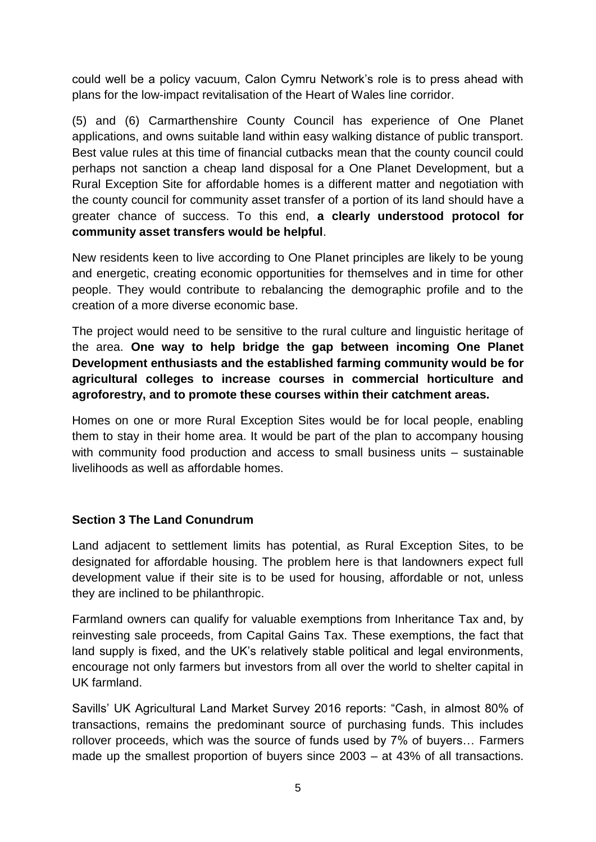could well be a policy vacuum, Calon Cymru Network's role is to press ahead with plans for the low-impact revitalisation of the Heart of Wales line corridor.

(5) and (6) Carmarthenshire County Council has experience of One Planet applications, and owns suitable land within easy walking distance of public transport. Best value rules at this time of financial cutbacks mean that the county council could perhaps not sanction a cheap land disposal for a One Planet Development, but a Rural Exception Site for affordable homes is a different matter and negotiation with the county council for community asset transfer of a portion of its land should have a greater chance of success. To this end, **a clearly understood protocol for community asset transfers would be helpful**.

New residents keen to live according to One Planet principles are likely to be young and energetic, creating economic opportunities for themselves and in time for other people. They would contribute to rebalancing the demographic profile and to the creation of a more diverse economic base.

The project would need to be sensitive to the rural culture and linguistic heritage of the area. **One way to help bridge the gap between incoming One Planet Development enthusiasts and the established farming community would be for agricultural colleges to increase courses in commercial horticulture and agroforestry, and to promote these courses within their catchment areas.**

Homes on one or more Rural Exception Sites would be for local people, enabling them to stay in their home area. It would be part of the plan to accompany housing with community food production and access to small business units – sustainable livelihoods as well as affordable homes.

#### **Section 3 The Land Conundrum**

Land adjacent to settlement limits has potential, as Rural Exception Sites, to be designated for affordable housing. The problem here is that landowners expect full development value if their site is to be used for housing, affordable or not, unless they are inclined to be philanthropic.

Farmland owners can qualify for valuable exemptions from Inheritance Tax and, by reinvesting sale proceeds, from Capital Gains Tax. These exemptions, the fact that land supply is fixed, and the UK's relatively stable political and legal environments, encourage not only farmers but investors from all over the world to shelter capital in UK farmland.

Savills' UK Agricultural Land Market Survey 2016 reports: "Cash, in almost 80% of transactions, remains the predominant source of purchasing funds. This includes rollover proceeds, which was the source of funds used by 7% of buyers… Farmers made up the smallest proportion of buyers since 2003 – at 43% of all transactions.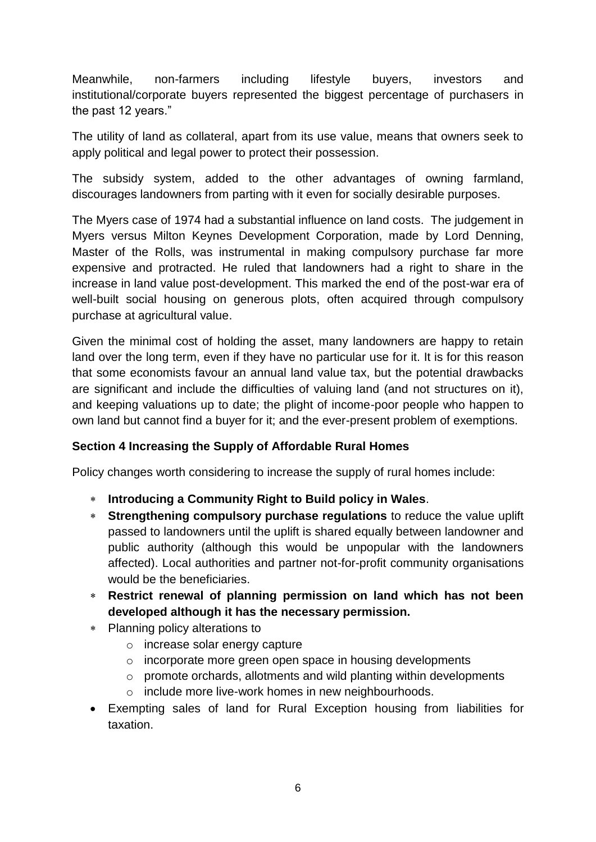Meanwhile, non-farmers including lifestyle buyers, investors and institutional/corporate buyers represented the biggest percentage of purchasers in the past 12 years."

The utility of land as collateral, apart from its use value, means that owners seek to apply political and legal power to protect their possession.

The subsidy system, added to the other advantages of owning farmland, discourages landowners from parting with it even for socially desirable purposes.

The Myers case of 1974 had a substantial influence on land costs. The judgement in Myers versus Milton Keynes Development Corporation, made by Lord Denning, Master of the Rolls, was instrumental in making compulsory purchase far more expensive and protracted. He ruled that landowners had a right to share in the increase in land value post-development. This marked the end of the post-war era of well-built social housing on generous plots, often acquired through compulsory purchase at agricultural value.

Given the minimal cost of holding the asset, many landowners are happy to retain land over the long term, even if they have no particular use for it. It is for this reason that some economists favour an annual land value tax, but the potential drawbacks are significant and include the difficulties of valuing land (and not structures on it), and keeping valuations up to date; the plight of income-poor people who happen to own land but cannot find a buyer for it; and the ever-present problem of exemptions.

#### **Section 4 Increasing the Supply of Affordable Rural Homes**

Policy changes worth considering to increase the supply of rural homes include:

- **Introducing a Community Right to Build policy in Wales**.
- **Strengthening compulsory purchase regulations** to reduce the value uplift passed to landowners until the uplift is shared equally between landowner and public authority (although this would be unpopular with the landowners affected). Local authorities and partner not-for-profit community organisations would be the beneficiaries.
- **Restrict renewal of planning permission on land which has not been developed although it has the necessary permission.**
- Planning policy alterations to
	- o increase solar energy capture
	- o incorporate more green open space in housing developments
	- o promote orchards, allotments and wild planting within developments
	- o include more live-work homes in new neighbourhoods.
- Exempting sales of land for Rural Exception housing from liabilities for taxation.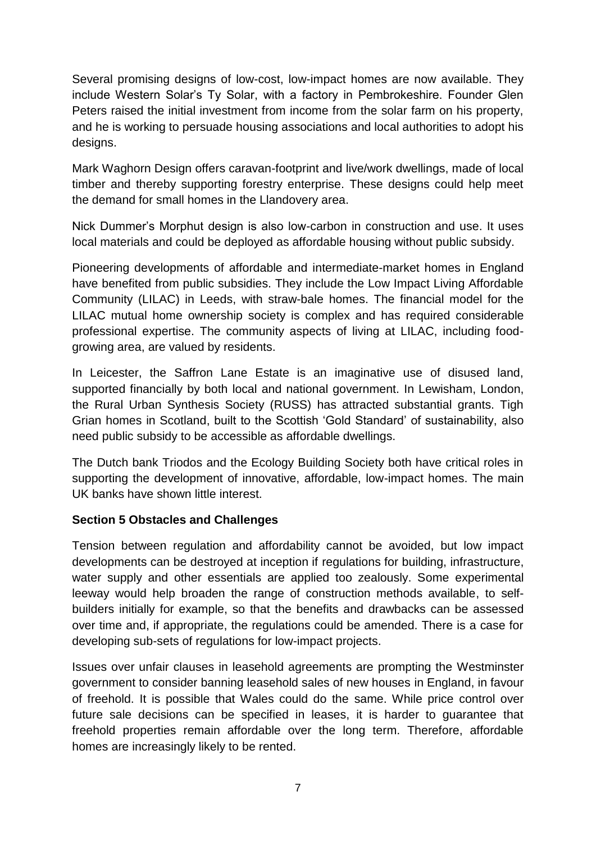Several promising designs of low-cost, low-impact homes are now available. They include Western Solar's Ty Solar, with a factory in Pembrokeshire. Founder Glen Peters raised the initial investment from income from the solar farm on his property, and he is working to persuade housing associations and local authorities to adopt his designs.

Mark Waghorn Design offers caravan-footprint and live/work dwellings, made of local timber and thereby supporting forestry enterprise. These designs could help meet the demand for small homes in the Llandovery area.

Nick Dummer's Morphut design is also low-carbon in construction and use. It uses local materials and could be deployed as affordable housing without public subsidy.

Pioneering developments of affordable and intermediate-market homes in England have benefited from public subsidies. They include the Low Impact Living Affordable Community (LILAC) in Leeds, with straw-bale homes. The financial model for the LILAC mutual home ownership society is complex and has required considerable professional expertise. The community aspects of living at LILAC, including foodgrowing area, are valued by residents.

In Leicester, the Saffron Lane Estate is an imaginative use of disused land, supported financially by both local and national government. In Lewisham, London, the Rural Urban Synthesis Society (RUSS) has attracted substantial grants. Tigh Grian homes in Scotland, built to the Scottish 'Gold Standard' of sustainability, also need public subsidy to be accessible as affordable dwellings.

The Dutch bank Triodos and the Ecology Building Society both have critical roles in supporting the development of innovative, affordable, low-impact homes. The main UK banks have shown little interest.

#### **Section 5 Obstacles and Challenges**

Tension between regulation and affordability cannot be avoided, but low impact developments can be destroyed at inception if regulations for building, infrastructure, water supply and other essentials are applied too zealously. Some experimental leeway would help broaden the range of construction methods available, to selfbuilders initially for example, so that the benefits and drawbacks can be assessed over time and, if appropriate, the regulations could be amended. There is a case for developing sub-sets of regulations for low-impact projects.

Issues over unfair clauses in leasehold agreements are prompting the Westminster government to consider banning leasehold sales of new houses in England, in favour of freehold. It is possible that Wales could do the same. While price control over future sale decisions can be specified in leases, it is harder to guarantee that freehold properties remain affordable over the long term. Therefore, affordable homes are increasingly likely to be rented.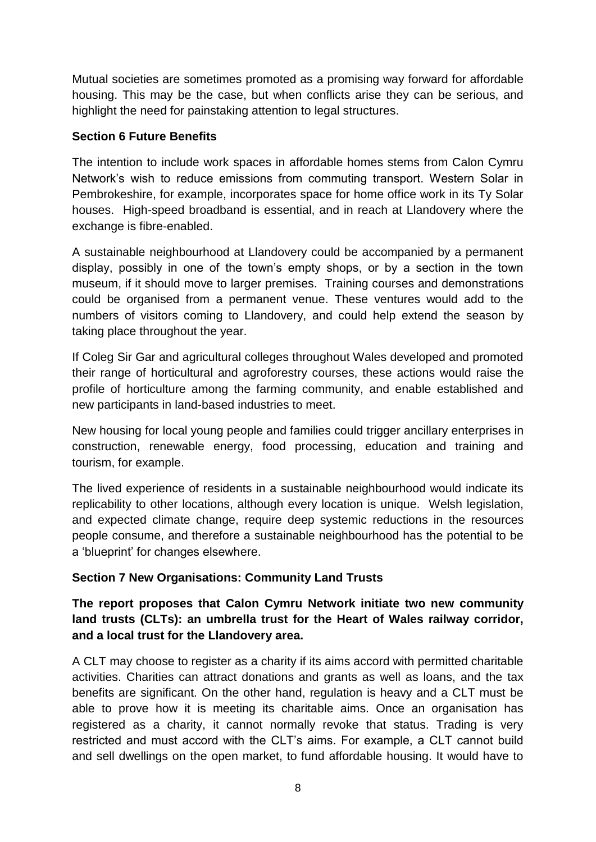Mutual societies are sometimes promoted as a promising way forward for affordable housing. This may be the case, but when conflicts arise they can be serious, and highlight the need for painstaking attention to legal structures.

#### **Section 6 Future Benefits**

The intention to include work spaces in affordable homes stems from Calon Cymru Network's wish to reduce emissions from commuting transport. Western Solar in Pembrokeshire, for example, incorporates space for home office work in its Ty Solar houses. High-speed broadband is essential, and in reach at Llandovery where the exchange is fibre-enabled.

A sustainable neighbourhood at Llandovery could be accompanied by a permanent display, possibly in one of the town's empty shops, or by a section in the town museum, if it should move to larger premises. Training courses and demonstrations could be organised from a permanent venue. These ventures would add to the numbers of visitors coming to Llandovery, and could help extend the season by taking place throughout the year.

If Coleg Sir Gar and agricultural colleges throughout Wales developed and promoted their range of horticultural and agroforestry courses, these actions would raise the profile of horticulture among the farming community, and enable established and new participants in land-based industries to meet.

New housing for local young people and families could trigger ancillary enterprises in construction, renewable energy, food processing, education and training and tourism, for example.

The lived experience of residents in a sustainable neighbourhood would indicate its replicability to other locations, although every location is unique. Welsh legislation, and expected climate change, require deep systemic reductions in the resources people consume, and therefore a sustainable neighbourhood has the potential to be a 'blueprint' for changes elsewhere.

# **Section 7 New Organisations: Community Land Trusts**

**The report proposes that Calon Cymru Network initiate two new community land trusts (CLTs): an umbrella trust for the Heart of Wales railway corridor, and a local trust for the Llandovery area.** 

A CLT may choose to register as a charity if its aims accord with permitted charitable activities. Charities can attract donations and grants as well as loans, and the tax benefits are significant. On the other hand, regulation is heavy and a CLT must be able to prove how it is meeting its charitable aims. Once an organisation has registered as a charity, it cannot normally revoke that status. Trading is very restricted and must accord with the CLT's aims. For example, a CLT cannot build and sell dwellings on the open market, to fund affordable housing. It would have to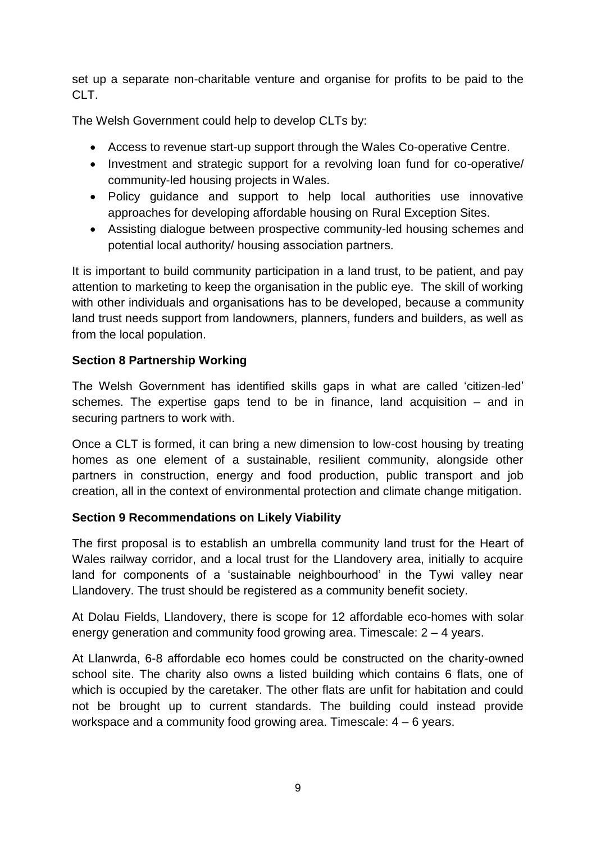set up a separate non-charitable venture and organise for profits to be paid to the CLT.

The Welsh Government could help to develop CLTs by:

- Access to revenue start-up support through the Wales Co-operative Centre.
- Investment and strategic support for a revolving loan fund for co-operative/ community-led housing projects in Wales.
- Policy guidance and support to help local authorities use innovative approaches for developing affordable housing on Rural Exception Sites.
- Assisting dialogue between prospective community-led housing schemes and potential local authority/ housing association partners.

It is important to build community participation in a land trust, to be patient, and pay attention to marketing to keep the organisation in the public eye. The skill of working with other individuals and organisations has to be developed, because a community land trust needs support from landowners, planners, funders and builders, as well as from the local population.

# **Section 8 Partnership Working**

The Welsh Government has identified skills gaps in what are called 'citizen-led' schemes. The expertise gaps tend to be in finance, land acquisition – and in securing partners to work with.

Once a CLT is formed, it can bring a new dimension to low-cost housing by treating homes as one element of a sustainable, resilient community, alongside other partners in construction, energy and food production, public transport and job creation, all in the context of environmental protection and climate change mitigation.

#### **Section 9 Recommendations on Likely Viability**

The first proposal is to establish an umbrella community land trust for the Heart of Wales railway corridor, and a local trust for the Llandovery area, initially to acquire land for components of a 'sustainable neighbourhood' in the Tywi valley near Llandovery. The trust should be registered as a community benefit society.

At Dolau Fields, Llandovery, there is scope for 12 affordable eco-homes with solar energy generation and community food growing area. Timescale: 2 – 4 years.

At Llanwrda, 6-8 affordable eco homes could be constructed on the charity-owned school site. The charity also owns a listed building which contains 6 flats, one of which is occupied by the caretaker. The other flats are unfit for habitation and could not be brought up to current standards. The building could instead provide workspace and a community food growing area. Timescale: 4 – 6 years.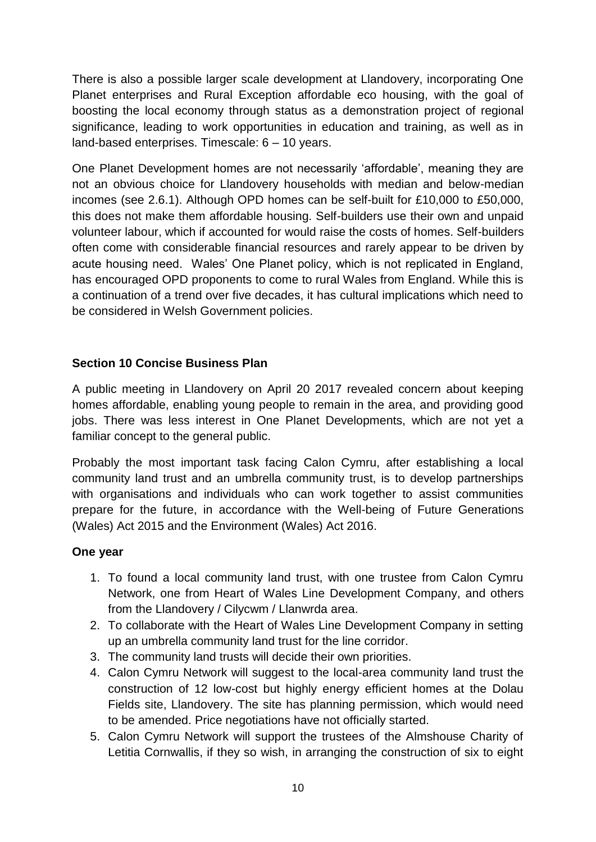There is also a possible larger scale development at Llandovery, incorporating One Planet enterprises and Rural Exception affordable eco housing, with the goal of boosting the local economy through status as a demonstration project of regional significance, leading to work opportunities in education and training, as well as in land-based enterprises. Timescale: 6 – 10 years.

One Planet Development homes are not necessarily 'affordable', meaning they are not an obvious choice for Llandovery households with median and below-median incomes (see 2.6.1). Although OPD homes can be self-built for £10,000 to £50,000, this does not make them affordable housing. Self-builders use their own and unpaid volunteer labour, which if accounted for would raise the costs of homes. Self-builders often come with considerable financial resources and rarely appear to be driven by acute housing need. Wales' One Planet policy, which is not replicated in England, has encouraged OPD proponents to come to rural Wales from England. While this is a continuation of a trend over five decades, it has cultural implications which need to be considered in Welsh Government policies.

# **Section 10 Concise Business Plan**

A public meeting in Llandovery on April 20 2017 revealed concern about keeping homes affordable, enabling young people to remain in the area, and providing good jobs. There was less interest in One Planet Developments, which are not yet a familiar concept to the general public.

Probably the most important task facing Calon Cymru, after establishing a local community land trust and an umbrella community trust, is to develop partnerships with organisations and individuals who can work together to assist communities prepare for the future, in accordance with the Well-being of Future Generations (Wales) Act 2015 and the Environment (Wales) Act 2016.

# **One year**

- 1. To found a local community land trust, with one trustee from Calon Cymru Network, one from Heart of Wales Line Development Company, and others from the Llandovery / Cilycwm / Llanwrda area.
- 2. To collaborate with the Heart of Wales Line Development Company in setting up an umbrella community land trust for the line corridor.
- 3. The community land trusts will decide their own priorities.
- 4. Calon Cymru Network will suggest to the local-area community land trust the construction of 12 low-cost but highly energy efficient homes at the Dolau Fields site, Llandovery. The site has planning permission, which would need to be amended. Price negotiations have not officially started.
- 5. Calon Cymru Network will support the trustees of the Almshouse Charity of Letitia Cornwallis, if they so wish, in arranging the construction of six to eight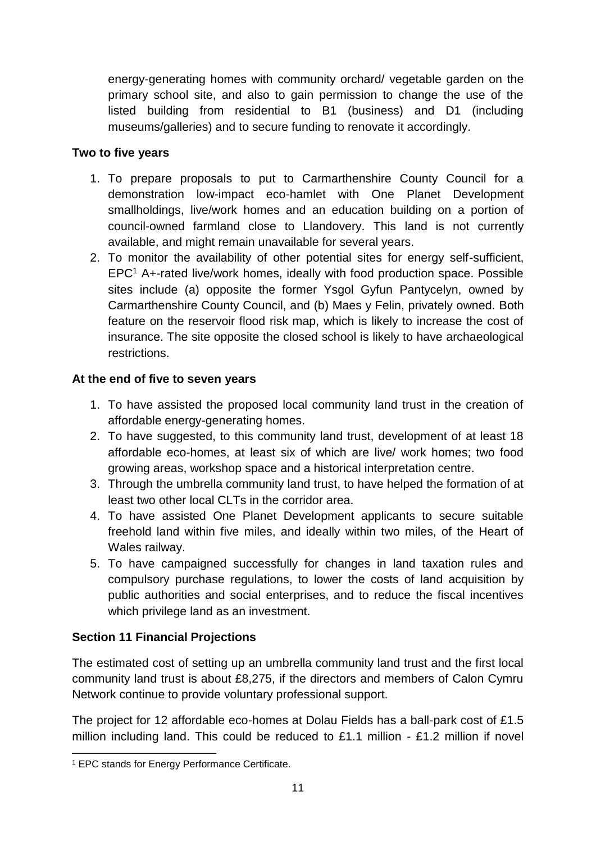energy-generating homes with community orchard/ vegetable garden on the primary school site, and also to gain permission to change the use of the listed building from residential to B1 (business) and D1 (including museums/galleries) and to secure funding to renovate it accordingly.

# **Two to five years**

- 1. To prepare proposals to put to Carmarthenshire County Council for a demonstration low-impact eco-hamlet with One Planet Development smallholdings, live/work homes and an education building on a portion of council-owned farmland close to Llandovery. This land is not currently available, and might remain unavailable for several years.
- 2. To monitor the availability of other potential sites for energy self-sufficient, EPC<sup>1</sup> A+-rated live/work homes, ideally with food production space. Possible sites include (a) opposite the former Ysgol Gyfun Pantycelyn, owned by Carmarthenshire County Council, and (b) Maes y Felin, privately owned. Both feature on the reservoir flood risk map, which is likely to increase the cost of insurance. The site opposite the closed school is likely to have archaeological restrictions.

# **At the end of five to seven years**

- 1. To have assisted the proposed local community land trust in the creation of affordable energy-generating homes.
- 2. To have suggested, to this community land trust, development of at least 18 affordable eco-homes, at least six of which are live/ work homes; two food growing areas, workshop space and a historical interpretation centre.
- 3. Through the umbrella community land trust, to have helped the formation of at least two other local CLTs in the corridor area.
- 4. To have assisted One Planet Development applicants to secure suitable freehold land within five miles, and ideally within two miles, of the Heart of Wales railway.
- 5. To have campaigned successfully for changes in land taxation rules and compulsory purchase regulations, to lower the costs of land acquisition by public authorities and social enterprises, and to reduce the fiscal incentives which privilege land as an investment.

# **Section 11 Financial Projections**

The estimated cost of setting up an umbrella community land trust and the first local community land trust is about £8,275, if the directors and members of Calon Cymru Network continue to provide voluntary professional support.

The project for 12 affordable eco-homes at Dolau Fields has a ball-park cost of £1.5 million including land. This could be reduced to  $£1.1$  million - £1.2 million if novel

<sup>-</sup><sup>1</sup> EPC stands for Energy Performance Certificate.